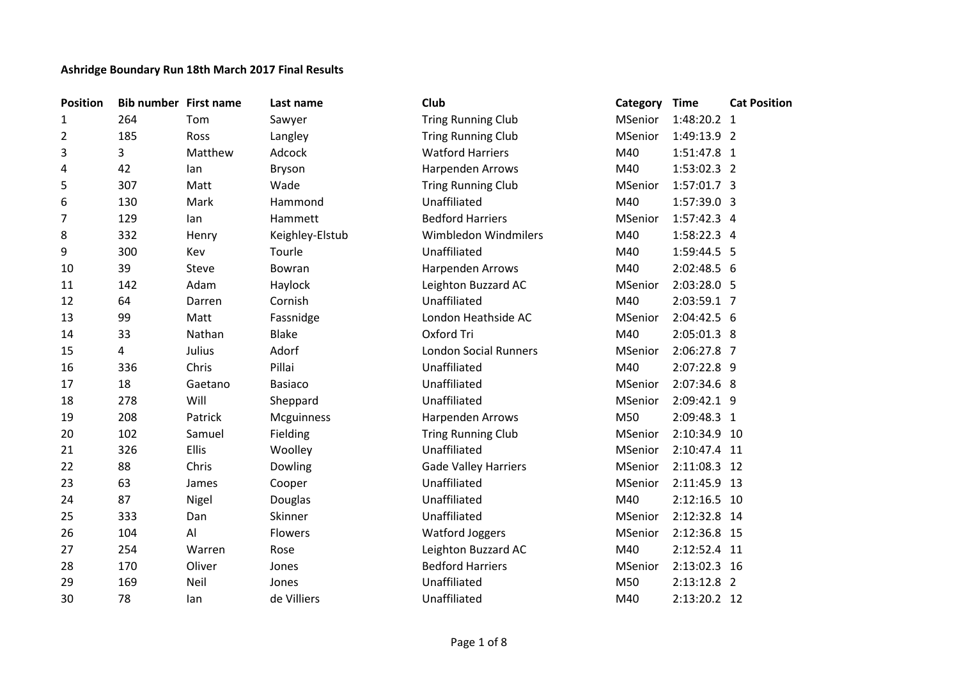## **Ashridge Boundary Run 18th March 2017 Final Results**

| <b>Position</b> | <b>Bib number</b> First name |              | Last name       | Club                         | Category       | <b>Time</b>  | <b>Cat Position</b> |
|-----------------|------------------------------|--------------|-----------------|------------------------------|----------------|--------------|---------------------|
| $\mathbf{1}$    | 264                          | Tom          | Sawyer          | <b>Tring Running Club</b>    | <b>MSenior</b> | 1:48:20.2 1  |                     |
| $\overline{2}$  | 185                          | Ross         | Langley         | <b>Tring Running Club</b>    | <b>MSenior</b> | 1:49:13.9 2  |                     |
| 3               | 3                            | Matthew      | Adcock          | <b>Watford Harriers</b>      | M40            | 1:51:47.8 1  |                     |
| 4               | 42                           | lan          | Bryson          | Harpenden Arrows             | M40            | 1:53:02.3 2  |                     |
| 5               | 307                          | Matt         | Wade            | <b>Tring Running Club</b>    | <b>MSenior</b> | 1:57:01.7 3  |                     |
| 6               | 130                          | Mark         | Hammond         | Unaffiliated                 | M40            | 1:57:39.0 3  |                     |
| 7               | 129                          | lan          | Hammett         | <b>Bedford Harriers</b>      | MSenior        | 1:57:42.3 4  |                     |
| 8               | 332                          | Henry        | Keighley-Elstub | Wimbledon Windmilers         | M40            | 1:58:22.3 4  |                     |
| 9               | 300                          | Kev          | Tourle          | Unaffiliated                 | M40            | 1:59:44.5 5  |                     |
| 10              | 39                           | Steve        | Bowran          | <b>Harpenden Arrows</b>      | M40            | 2:02:48.5 6  |                     |
| 11              | 142                          | Adam         | Haylock         | Leighton Buzzard AC          | MSenior        | 2:03:28.0 5  |                     |
| 12              | 64                           | Darren       | Cornish         | Unaffiliated                 | M40            | 2:03:59.1 7  |                     |
| 13              | 99                           | Matt         | Fassnidge       | London Heathside AC          | MSenior        | 2:04:42.5 6  |                     |
| 14              | 33                           | Nathan       | <b>Blake</b>    | Oxford Tri                   | M40            | 2:05:01.3 8  |                     |
| 15              | 4                            | Julius       | Adorf           | <b>London Social Runners</b> | MSenior        | 2:06:27.8 7  |                     |
| 16              | 336                          | Chris        | Pillai          | Unaffiliated                 | M40            | 2:07:22.8 9  |                     |
| 17              | 18                           | Gaetano      | <b>Basiaco</b>  | Unaffiliated                 | MSenior        | 2:07:34.6 8  |                     |
| 18              | 278                          | Will         | Sheppard        | Unaffiliated                 | MSenior        | 2:09:42.1 9  |                     |
| 19              | 208                          | Patrick      | Mcguinness      | Harpenden Arrows             | M50            | 2:09:48.3 1  |                     |
| 20              | 102                          | Samuel       | Fielding        | <b>Tring Running Club</b>    | MSenior        | 2:10:34.9 10 |                     |
| 21              | 326                          | <b>Ellis</b> | Woolley         | Unaffiliated                 | <b>MSenior</b> | 2:10:47.4 11 |                     |
| 22              | 88                           | Chris        | Dowling         | <b>Gade Valley Harriers</b>  | <b>MSenior</b> | 2:11:08.3 12 |                     |
| 23              | 63                           | James        | Cooper          | Unaffiliated                 | <b>MSenior</b> | 2:11:45.9 13 |                     |
| 24              | 87                           | Nigel        | Douglas         | Unaffiliated                 | M40            | 2:12:16.5 10 |                     |
| 25              | 333                          | Dan          | Skinner         | Unaffiliated                 | <b>MSenior</b> | 2:12:32.8 14 |                     |
| 26              | 104                          | Al           | Flowers         | <b>Watford Joggers</b>       | <b>MSenior</b> | 2:12:36.8 15 |                     |
| 27              | 254                          | Warren       | Rose            | Leighton Buzzard AC          | M40            | 2:12:52.4 11 |                     |
| 28              | 170                          | Oliver       | Jones           | <b>Bedford Harriers</b>      | <b>MSenior</b> | 2:13:02.3 16 |                     |
| 29              | 169                          | Neil         | Jones           | Unaffiliated                 | M50            | 2:13:12.8 2  |                     |
| 30              | 78                           | lan          | de Villiers     | Unaffiliated                 | M40            | 2:13:20.2 12 |                     |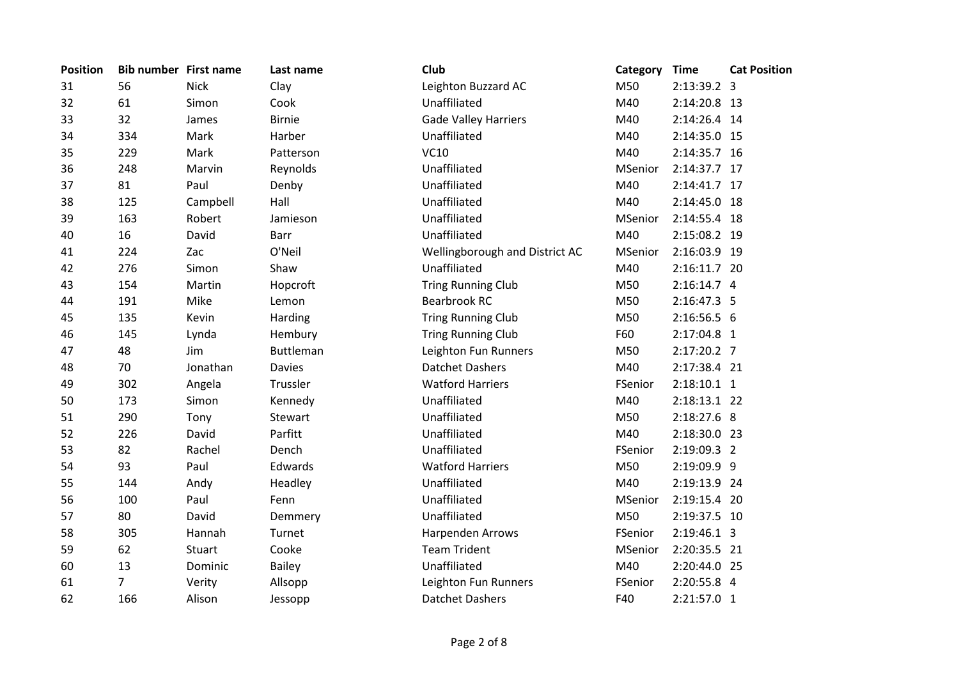| <b>Position</b> | <b>Bib number</b> First name |             | Last name        | <b>Club</b>                    | Category       | <b>Time</b>   | <b>Cat Position</b> |
|-----------------|------------------------------|-------------|------------------|--------------------------------|----------------|---------------|---------------------|
| 31              | 56                           | <b>Nick</b> | Clay             | Leighton Buzzard AC            | M50            | $2:13:39.2$ 3 |                     |
| 32              | 61                           | Simon       | Cook             | Unaffiliated                   | M40            | 2:14:20.8 13  |                     |
| 33              | 32                           | James       | <b>Birnie</b>    | <b>Gade Valley Harriers</b>    | M40            | 2:14:26.4 14  |                     |
| 34              | 334                          | Mark        | Harber           | Unaffiliated                   | M40            | 2:14:35.0 15  |                     |
| 35              | 229                          | Mark        | Patterson        | VC10                           | M40            | 2:14:35.7 16  |                     |
| 36              | 248                          | Marvin      | Reynolds         | Unaffiliated                   | <b>MSenior</b> | 2:14:37.7 17  |                     |
| 37              | 81                           | Paul        | Denby            | Unaffiliated                   | M40            | 2:14:41.7 17  |                     |
| 38              | 125                          | Campbell    | Hall             | Unaffiliated                   | M40            | 2:14:45.0 18  |                     |
| 39              | 163                          | Robert      | Jamieson         | Unaffiliated                   | MSenior        | 2:14:55.4 18  |                     |
| 40              | 16                           | David       | Barr             | Unaffiliated                   | M40            | 2:15:08.2 19  |                     |
| 41              | 224                          | Zac         | O'Neil           | Wellingborough and District AC | MSenior        | 2:16:03.9 19  |                     |
| 42              | 276                          | Simon       | Shaw             | Unaffiliated                   | M40            | 2:16:11.7 20  |                     |
| 43              | 154                          | Martin      | Hopcroft         | <b>Tring Running Club</b>      | M50            | 2:16:14.7 4   |                     |
| 44              | 191                          | Mike        | Lemon            | <b>Bearbrook RC</b>            | M50            | 2:16:47.3 5   |                     |
| 45              | 135                          | Kevin       | Harding          | <b>Tring Running Club</b>      | M50            | 2:16:56.5 6   |                     |
| 46              | 145                          | Lynda       | Hembury          | <b>Tring Running Club</b>      | F60            | 2:17:04.8 1   |                     |
| 47              | 48                           | Jim         | <b>Buttleman</b> | Leighton Fun Runners           | M50            | 2:17:20.2 7   |                     |
| 48              | 70                           | Jonathan    | Davies           | <b>Datchet Dashers</b>         | M40            | 2:17:38.4 21  |                     |
| 49              | 302                          | Angela      | Trussler         | <b>Watford Harriers</b>        | FSenior        | $2:18:10.1$ 1 |                     |
| 50              | 173                          | Simon       | Kennedy          | Unaffiliated                   | M40            | 2:18:13.1 22  |                     |
| 51              | 290                          | Tony        | Stewart          | Unaffiliated                   | M50            | 2:18:27.6 8   |                     |
| 52              | 226                          | David       | Parfitt          | Unaffiliated                   | M40            | 2:18:30.0 23  |                     |
| 53              | 82                           | Rachel      | Dench            | Unaffiliated                   | FSenior        | 2:19:09.3 2   |                     |
| 54              | 93                           | Paul        | Edwards          | <b>Watford Harriers</b>        | M50            | 2:19:09.9 9   |                     |
| 55              | 144                          | Andy        | Headley          | Unaffiliated                   | M40            | 2:19:13.9 24  |                     |
| 56              | 100                          | Paul        | Fenn             | Unaffiliated                   | <b>MSenior</b> | 2:19:15.4 20  |                     |
| 57              | 80                           | David       | Demmery          | Unaffiliated                   | M50            | 2:19:37.5 10  |                     |
| 58              | 305                          | Hannah      | Turnet           | Harpenden Arrows               | FSenior        | 2:19:46.1 3   |                     |
| 59              | 62                           | Stuart      | Cooke            | <b>Team Trident</b>            | <b>MSenior</b> | 2:20:35.5 21  |                     |
| 60              | 13                           | Dominic     | <b>Bailey</b>    | Unaffiliated                   | M40            | 2:20:44.0 25  |                     |
| 61              | $\overline{7}$               | Verity      | Allsopp          | Leighton Fun Runners           | FSenior        | 2:20:55.8 4   |                     |
| 62              | 166                          | Alison      | Jessopp          | <b>Datchet Dashers</b>         | F40            | 2:21:57.0 1   |                     |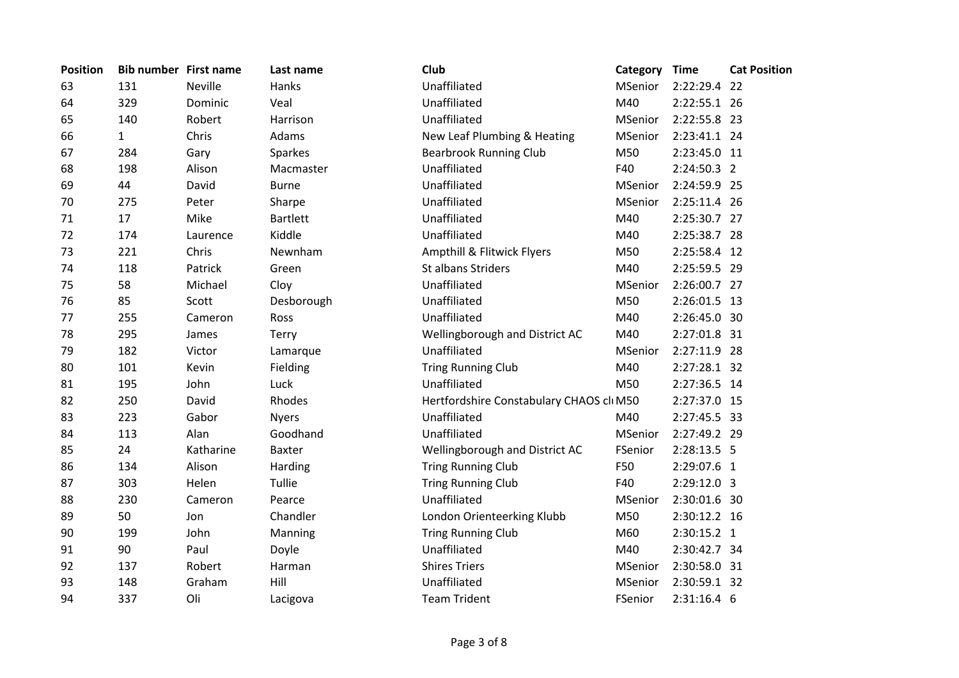| <b>Position</b> | <b>Bib number</b> First name |                | Last name       | Club                                     | Category       | <b>Time</b>  | <b>Cat Position</b> |
|-----------------|------------------------------|----------------|-----------------|------------------------------------------|----------------|--------------|---------------------|
| 63              | 131                          | <b>Neville</b> | Hanks           | Unaffiliated                             | <b>MSenior</b> | 2:22:29.4    | 22                  |
| 64              | 329                          | Dominic        | Veal            | Unaffiliated                             | M40            | 2:22:55.1 26 |                     |
| 65              | 140                          | Robert         | Harrison        | Unaffiliated                             | <b>MSenior</b> | 2:22:55.8 23 |                     |
| 66              | $\mathbf{1}$                 | Chris          | Adams           | New Leaf Plumbing & Heating              | <b>MSenior</b> | 2:23:41.1 24 |                     |
| 67              | 284                          | Gary           | Sparkes         | <b>Bearbrook Running Club</b>            | M50            | 2:23:45.0 11 |                     |
| 68              | 198                          | Alison         | Macmaster       | Unaffiliated                             | F40            | 2:24:50.3 2  |                     |
| 69              | 44                           | David          | <b>Burne</b>    | Unaffiliated                             | <b>MSenior</b> | 2:24:59.9 25 |                     |
| 70              | 275                          | Peter          | Sharpe          | Unaffiliated                             | <b>MSenior</b> | 2:25:11.4 26 |                     |
| 71              | 17                           | Mike           | <b>Bartlett</b> | Unaffiliated                             | M40            | 2:25:30.7 27 |                     |
| 72              | 174                          | Laurence       | Kiddle          | Unaffiliated                             | M40            | 2:25:38.7 28 |                     |
| 73              | 221                          | Chris          | Newnham         | Ampthill & Flitwick Flyers               | M50            | 2:25:58.4 12 |                     |
| 74              | 118                          | Patrick        | Green           | St albans Striders                       | M40            | 2:25:59.5 29 |                     |
| 75              | 58                           | Michael        | Cloy            | Unaffiliated                             | <b>MSenior</b> | 2:26:00.7 27 |                     |
| 76              | 85                           | Scott          | Desborough      | Unaffiliated                             | M50            | 2:26:01.5 13 |                     |
| 77              | 255                          | Cameron        | Ross            | Unaffiliated                             | M40            | 2:26:45.0 30 |                     |
| 78              | 295                          | James          | Terry           | Wellingborough and District AC           | M40            | 2:27:01.8 31 |                     |
| 79              | 182                          | Victor         | Lamarque        | Unaffiliated                             | <b>MSenior</b> | 2:27:11.9 28 |                     |
| 80              | 101                          | Kevin          | Fielding        | <b>Tring Running Club</b>                | M40            | 2:27:28.1 32 |                     |
| 81              | 195                          | John           | Luck            | Unaffiliated                             | M50            | 2:27:36.5 14 |                     |
| 82              | 250                          | David          | Rhodes          | Hertfordshire Constabulary CHAOS cli M50 |                | 2:27:37.0 15 |                     |
| 83              | 223                          | Gabor          | <b>Nyers</b>    | Unaffiliated                             | M40            | 2:27:45.5 33 |                     |
| 84              | 113                          | Alan           | Goodhand        | Unaffiliated                             | <b>MSenior</b> | 2:27:49.2 29 |                     |
| 85              | 24                           | Katharine      | Baxter          | Wellingborough and District AC           | FSenior        | 2:28:13.5 5  |                     |
| 86              | 134                          | Alison         | Harding         | <b>Tring Running Club</b>                | F50            | 2:29:07.6 1  |                     |
| 87              | 303                          | Helen          | Tullie          | <b>Tring Running Club</b>                | F40            | 2:29:12.0 3  |                     |
| 88              | 230                          | Cameron        | Pearce          | Unaffiliated                             | <b>MSenior</b> | 2:30:01.6 30 |                     |
| 89              | 50                           | Jon            | Chandler        | London Orienteerking Klubb               | M50            | 2:30:12.2 16 |                     |
| 90              | 199                          | John           | Manning         | <b>Tring Running Club</b>                | M60            | 2:30:15.2 1  |                     |
| 91              | 90                           | Paul           | Doyle           | Unaffiliated                             | M40            | 2:30:42.7 34 |                     |
| 92              | 137                          | Robert         | Harman          | <b>Shires Triers</b>                     | <b>MSenior</b> | 2:30:58.0 31 |                     |
| 93              | 148                          | Graham         | Hill            | Unaffiliated                             | <b>MSenior</b> | 2:30:59.1 32 |                     |
| 94              | 337                          | Oli            | Lacigova        | <b>Team Trident</b>                      | FSenior        | 2:31:16.4 6  |                     |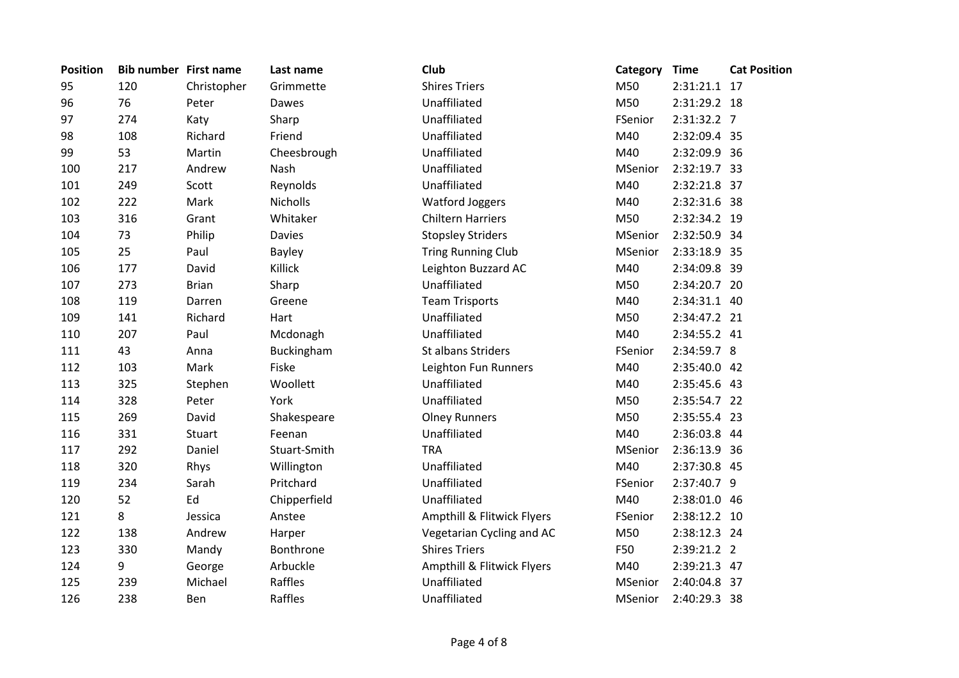| <b>Position</b> | <b>Bib number</b> First name |              | Last name     | Club                       | Category       | <b>Time</b>  | <b>Cat Position</b> |
|-----------------|------------------------------|--------------|---------------|----------------------------|----------------|--------------|---------------------|
| 95              | 120                          | Christopher  | Grimmette     | <b>Shires Triers</b>       | M50            | 2:31:21.1    | 17                  |
| 96              | 76                           | Peter        | Dawes         | Unaffiliated               | M50            | 2:31:29.2 18 |                     |
| 97              | 274                          | Katy         | Sharp         | Unaffiliated               | FSenior        | 2:31:32.2 7  |                     |
| 98              | 108                          | Richard      | Friend        | Unaffiliated               | M40            | 2:32:09.4 35 |                     |
| 99              | 53                           | Martin       | Cheesbrough   | Unaffiliated               | M40            | 2:32:09.9 36 |                     |
| 100             | 217                          | Andrew       | Nash          | Unaffiliated               | MSenior        | 2:32:19.7 33 |                     |
| 101             | 249                          | Scott        | Reynolds      | Unaffiliated               | M40            | 2:32:21.8 37 |                     |
| 102             | 222                          | Mark         | Nicholls      | <b>Watford Joggers</b>     | M40            | 2:32:31.6 38 |                     |
| 103             | 316                          | Grant        | Whitaker      | <b>Chiltern Harriers</b>   | M50            | 2:32:34.2 19 |                     |
| 104             | 73                           | Philip       | <b>Davies</b> | <b>Stopsley Striders</b>   | MSenior        | 2:32:50.9 34 |                     |
| 105             | 25                           | Paul         | Bayley        | <b>Tring Running Club</b>  | MSenior        | 2:33:18.9 35 |                     |
| 106             | 177                          | David        | Killick       | Leighton Buzzard AC        | M40            | 2:34:09.8 39 |                     |
| 107             | 273                          | <b>Brian</b> | Sharp         | Unaffiliated               | M50            | 2:34:20.7 20 |                     |
| 108             | 119                          | Darren       | Greene        | <b>Team Trisports</b>      | M40            | 2:34:31.1 40 |                     |
| 109             | 141                          | Richard      | Hart          | Unaffiliated               | M50            | 2:34:47.2 21 |                     |
| 110             | 207                          | Paul         | Mcdonagh      | Unaffiliated               | M40            | 2:34:55.2 41 |                     |
| 111             | 43                           | Anna         | Buckingham    | St albans Striders         | FSenior        | 2:34:59.7 8  |                     |
| 112             | 103                          | Mark         | Fiske         | Leighton Fun Runners       | M40            | 2:35:40.0 42 |                     |
| 113             | 325                          | Stephen      | Woollett      | Unaffiliated               | M40            | 2:35:45.6 43 |                     |
| 114             | 328                          | Peter        | York          | Unaffiliated               | M50            | 2:35:54.7 22 |                     |
| 115             | 269                          | David        | Shakespeare   | <b>Olney Runners</b>       | M50            | 2:35:55.4 23 |                     |
| 116             | 331                          | Stuart       | Feenan        | Unaffiliated               | M40            | 2:36:03.8 44 |                     |
| 117             | 292                          | Daniel       | Stuart-Smith  | <b>TRA</b>                 | MSenior        | 2:36:13.9 36 |                     |
| 118             | 320                          | Rhys         | Willington    | Unaffiliated               | M40            | 2:37:30.8 45 |                     |
| 119             | 234                          | Sarah        | Pritchard     | Unaffiliated               | FSenior        | 2:37:40.7 9  |                     |
| 120             | 52                           | Ed           | Chipperfield  | Unaffiliated               | M40            | 2:38:01.0 46 |                     |
| 121             | 8                            | Jessica      | Anstee        | Ampthill & Flitwick Flyers | FSenior        | 2:38:12.2 10 |                     |
| 122             | 138                          | Andrew       | Harper        | Vegetarian Cycling and AC  | M50            | 2:38:12.3 24 |                     |
| 123             | 330                          | Mandy        | Bonthrone     | <b>Shires Triers</b>       | F50            | 2:39:21.2 2  |                     |
| 124             | 9                            | George       | Arbuckle      | Ampthill & Flitwick Flyers | M40            | 2:39:21.3 47 |                     |
| 125             | 239                          | Michael      | Raffles       | Unaffiliated               | MSenior        | 2:40:04.8 37 |                     |
| 126             | 238                          | Ben          | Raffles       | Unaffiliated               | <b>MSenior</b> | 2:40:29.3 38 |                     |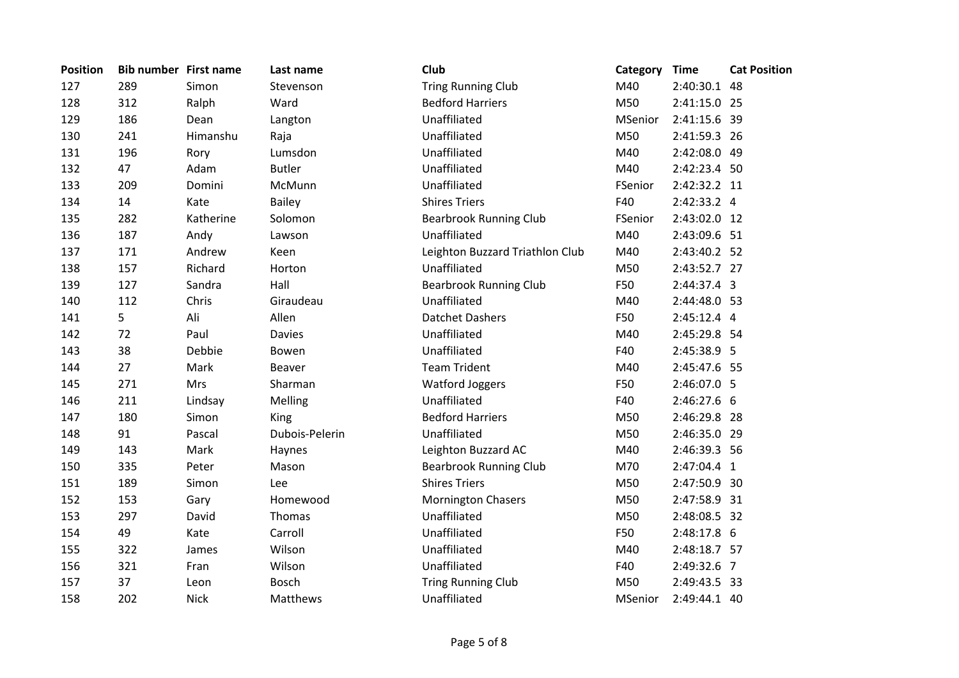| <b>Position</b> | <b>Bib number</b> First name |             | Last name      | Club                            | Category       | <b>Time</b>  | <b>Cat Position</b> |
|-----------------|------------------------------|-------------|----------------|---------------------------------|----------------|--------------|---------------------|
| 127             | 289                          | Simon       | Stevenson      | <b>Tring Running Club</b>       | M40            | 2:40:30.1 48 |                     |
| 128             | 312                          | Ralph       | Ward           | <b>Bedford Harriers</b>         | M50            | 2:41:15.0 25 |                     |
| 129             | 186                          | Dean        | Langton        | Unaffiliated                    | <b>MSenior</b> | 2:41:15.6 39 |                     |
| 130             | 241                          | Himanshu    | Raja           | Unaffiliated                    | M50            | 2:41:59.3 26 |                     |
| 131             | 196                          | Rory        | Lumsdon        | Unaffiliated                    | M40            | 2:42:08.0 49 |                     |
| 132             | 47                           | Adam        | <b>Butler</b>  | Unaffiliated                    | M40            | 2:42:23.4 50 |                     |
| 133             | 209                          | Domini      | McMunn         | Unaffiliated                    | FSenior        | 2:42:32.2 11 |                     |
| 134             | 14                           | Kate        | <b>Bailey</b>  | <b>Shires Triers</b>            | F40            | 2:42:33.2 4  |                     |
| 135             | 282                          | Katherine   | Solomon        | <b>Bearbrook Running Club</b>   | FSenior        | 2:43:02.0 12 |                     |
| 136             | 187                          | Andy        | Lawson         | Unaffiliated                    | M40            | 2:43:09.6 51 |                     |
| 137             | 171                          | Andrew      | Keen           | Leighton Buzzard Triathlon Club | M40            | 2:43:40.2 52 |                     |
| 138             | 157                          | Richard     | Horton         | Unaffiliated                    | M50            | 2:43:52.7 27 |                     |
| 139             | 127                          | Sandra      | Hall           | <b>Bearbrook Running Club</b>   | F50            | 2:44:37.4 3  |                     |
| 140             | 112                          | Chris       | Giraudeau      | Unaffiliated                    | M40            | 2:44:48.0 53 |                     |
| 141             | 5                            | Ali         | Allen          | <b>Datchet Dashers</b>          | F50            | 2:45:12.4 4  |                     |
| 142             | 72                           | Paul        | <b>Davies</b>  | Unaffiliated                    | M40            | 2:45:29.8 54 |                     |
| 143             | 38                           | Debbie      | Bowen          | Unaffiliated                    | F40            | 2:45:38.9 5  |                     |
| 144             | 27                           | Mark        | Beaver         | <b>Team Trident</b>             | M40            | 2:45:47.6 55 |                     |
| 145             | 271                          | Mrs         | Sharman        | <b>Watford Joggers</b>          | F50            | 2:46:07.0 5  |                     |
| 146             | 211                          | Lindsay     | Melling        | Unaffiliated                    | F40            | 2:46:27.6 6  |                     |
| 147             | 180                          | Simon       | King           | <b>Bedford Harriers</b>         | M50            | 2:46:29.8 28 |                     |
| 148             | 91                           | Pascal      | Dubois-Pelerin | Unaffiliated                    | M50            | 2:46:35.0 29 |                     |
| 149             | 143                          | Mark        | Haynes         | Leighton Buzzard AC             | M40            | 2:46:39.3 56 |                     |
| 150             | 335                          | Peter       | Mason          | <b>Bearbrook Running Club</b>   | M70            | 2:47:04.4 1  |                     |
| 151             | 189                          | Simon       | Lee            | <b>Shires Triers</b>            | M50            | 2:47:50.9 30 |                     |
| 152             | 153                          | Gary        | Homewood       | <b>Mornington Chasers</b>       | M50            | 2:47:58.9 31 |                     |
| 153             | 297                          | David       | Thomas         | Unaffiliated                    | M50            | 2:48:08.5 32 |                     |
| 154             | 49                           | Kate        | Carroll        | Unaffiliated                    | F50            | 2:48:17.8 6  |                     |
| 155             | 322                          | James       | Wilson         | Unaffiliated                    | M40            | 2:48:18.7 57 |                     |
| 156             | 321                          | Fran        | Wilson         | Unaffiliated                    | F40            | 2:49:32.6 7  |                     |
| 157             | 37                           | Leon        | <b>Bosch</b>   | <b>Tring Running Club</b>       | M50            | 2:49:43.5 33 |                     |
| 158             | 202                          | <b>Nick</b> | Matthews       | Unaffiliated                    | <b>MSenior</b> | 2:49:44.1 40 |                     |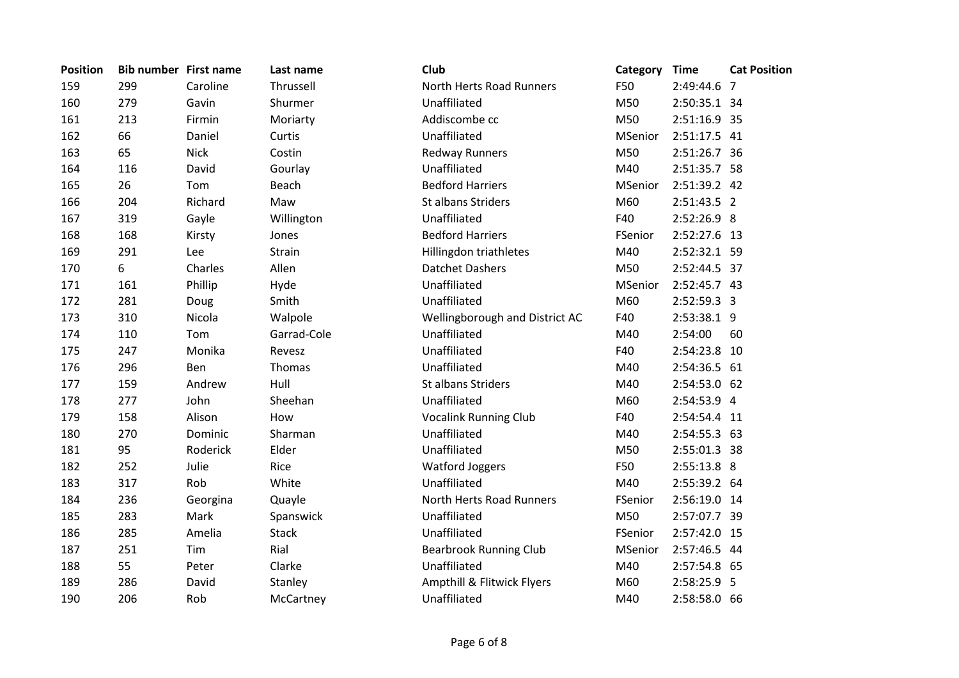| <b>Position</b> | <b>Bib number</b> First name |             | Last name    | Club                           | Category       | <b>Time</b>  | <b>Cat Position</b> |
|-----------------|------------------------------|-------------|--------------|--------------------------------|----------------|--------------|---------------------|
| 159             | 299                          | Caroline    | Thrussell    | North Herts Road Runners       | F50            | 2:49:44.6 7  |                     |
| 160             | 279                          | Gavin       | Shurmer      | Unaffiliated                   | M50            | 2:50:35.1 34 |                     |
| 161             | 213                          | Firmin      | Moriarty     | Addiscombe cc                  | M50            | 2:51:16.9 35 |                     |
| 162             | 66                           | Daniel      | Curtis       | Unaffiliated                   | <b>MSenior</b> | 2:51:17.5 41 |                     |
| 163             | 65                           | <b>Nick</b> | Costin       | <b>Redway Runners</b>          | M50            | 2:51:26.7 36 |                     |
| 164             | 116                          | David       | Gourlay      | Unaffiliated                   | M40            | 2:51:35.7 58 |                     |
| 165             | 26                           | Tom         | Beach        | <b>Bedford Harriers</b>        | <b>MSenior</b> | 2:51:39.2 42 |                     |
| 166             | 204                          | Richard     | Maw          | St albans Striders             | M60            | 2:51:43.5 2  |                     |
| 167             | 319                          | Gayle       | Willington   | Unaffiliated                   | F40            | 2:52:26.9 8  |                     |
| 168             | 168                          | Kirsty      | Jones        | <b>Bedford Harriers</b>        | FSenior        | 2:52:27.6 13 |                     |
| 169             | 291                          | Lee         | Strain       | Hillingdon triathletes         | M40            | 2:52:32.1 59 |                     |
| 170             | 6                            | Charles     | Allen        | <b>Datchet Dashers</b>         | M50            | 2:52:44.5 37 |                     |
| 171             | 161                          | Phillip     | Hyde         | Unaffiliated                   | MSenior        | 2:52:45.7 43 |                     |
| 172             | 281                          | Doug        | Smith        | Unaffiliated                   | M60            | 2:52:59.3 3  |                     |
| 173             | 310                          | Nicola      | Walpole      | Wellingborough and District AC | F40            | 2:53:38.1 9  |                     |
| 174             | 110                          | Tom         | Garrad-Cole  | Unaffiliated                   | M40            | 2:54:00      | 60                  |
| 175             | 247                          | Monika      | Revesz       | Unaffiliated                   | F40            | 2:54:23.8 10 |                     |
| 176             | 296                          | Ben         | Thomas       | Unaffiliated                   | M40            | 2:54:36.5 61 |                     |
| 177             | 159                          | Andrew      | Hull         | St albans Striders             | M40            | 2:54:53.0 62 |                     |
| 178             | 277                          | John        | Sheehan      | Unaffiliated                   | M60            | 2:54:53.9 4  |                     |
| 179             | 158                          | Alison      | How          | <b>Vocalink Running Club</b>   | F40            | 2:54:54.4 11 |                     |
| 180             | 270                          | Dominic     | Sharman      | Unaffiliated                   | M40            | 2:54:55.3 63 |                     |
| 181             | 95                           | Roderick    | Elder        | Unaffiliated                   | M50            | 2:55:01.3 38 |                     |
| 182             | 252                          | Julie       | Rice         | <b>Watford Joggers</b>         | F50            | 2:55:13.8 8  |                     |
| 183             | 317                          | Rob         | White        | Unaffiliated                   | M40            | 2:55:39.2 64 |                     |
| 184             | 236                          | Georgina    | Quayle       | North Herts Road Runners       | FSenior        | 2:56:19.0 14 |                     |
| 185             | 283                          | Mark        | Spanswick    | Unaffiliated                   | M50            | 2:57:07.7 39 |                     |
| 186             | 285                          | Amelia      | <b>Stack</b> | Unaffiliated                   | FSenior        | 2:57:42.0 15 |                     |
| 187             | 251                          | Tim         | Rial         | <b>Bearbrook Running Club</b>  | <b>MSenior</b> | 2:57:46.5 44 |                     |
| 188             | 55                           | Peter       | Clarke       | Unaffiliated                   | M40            | 2:57:54.8 65 |                     |
| 189             | 286                          | David       | Stanley      | Ampthill & Flitwick Flyers     | M60            | 2:58:25.9 5  |                     |
| 190             | 206                          | Rob         | McCartney    | Unaffiliated                   | M40            | 2:58:58.0 66 |                     |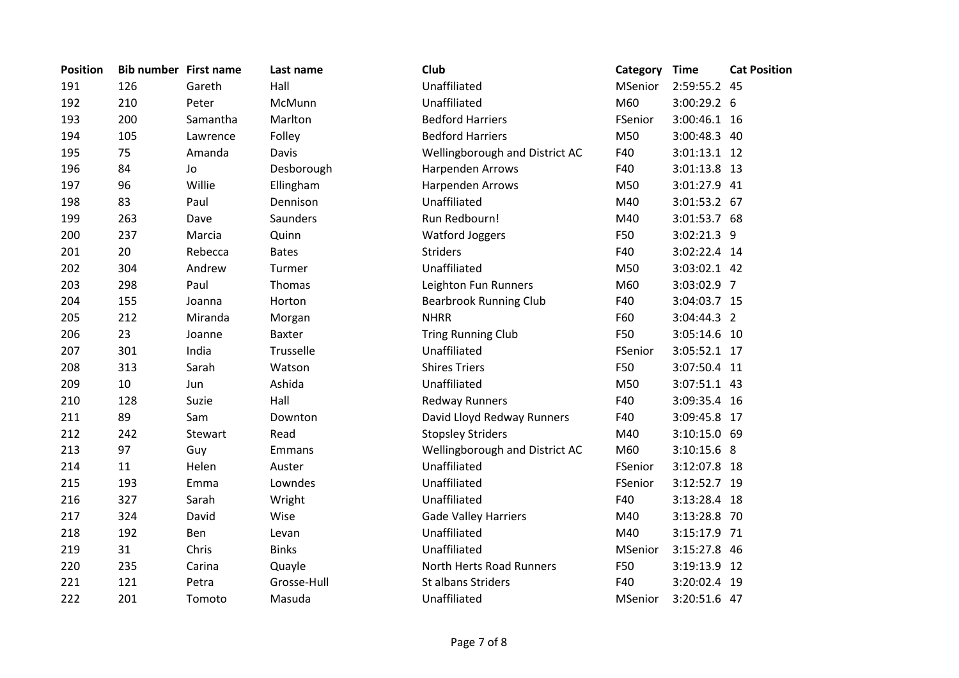| <b>Position</b> | <b>Bib number</b> First name |          | Last name     | Club                           | Category       | <b>Time</b>   | <b>Cat Position</b> |
|-----------------|------------------------------|----------|---------------|--------------------------------|----------------|---------------|---------------------|
| 191             | 126                          | Gareth   | Hall          | Unaffiliated                   | <b>MSenior</b> | 2:59:55.2 45  |                     |
| 192             | 210                          | Peter    | McMunn        | Unaffiliated                   | M60            | 3:00:29.2 6   |                     |
| 193             | 200                          | Samantha | Marlton       | <b>Bedford Harriers</b>        | FSenior        | 3:00:46.1 16  |                     |
| 194             | 105                          | Lawrence | Folley        | <b>Bedford Harriers</b>        | M50            | 3:00:48.3 40  |                     |
| 195             | 75                           | Amanda   | Davis         | Wellingborough and District AC | F40            | 3:01:13.1 12  |                     |
| 196             | 84                           | Jo       | Desborough    | <b>Harpenden Arrows</b>        | F40            | 3:01:13.8 13  |                     |
| 197             | 96                           | Willie   | Ellingham     | Harpenden Arrows               | M50            | 3:01:27.9 41  |                     |
| 198             | 83                           | Paul     | Dennison      | Unaffiliated                   | M40            | 3:01:53.2 67  |                     |
| 199             | 263                          | Dave     | Saunders      | Run Redbourn!                  | M40            | 3:01:53.7 68  |                     |
| 200             | 237                          | Marcia   | Quinn         | <b>Watford Joggers</b>         | F50            | 3:02:21.3 9   |                     |
| 201             | 20                           | Rebecca  | <b>Bates</b>  | <b>Striders</b>                | F40            | 3:02:22.4 14  |                     |
| 202             | 304                          | Andrew   | Turmer        | Unaffiliated                   | M50            | 3:03:02.1 42  |                     |
| 203             | 298                          | Paul     | Thomas        | Leighton Fun Runners           | M60            | 3:03:02.9 7   |                     |
| 204             | 155                          | Joanna   | Horton        | <b>Bearbrook Running Club</b>  | F40            | 3:04:03.7 15  |                     |
| 205             | 212                          | Miranda  | Morgan        | <b>NHRR</b>                    | F60            | 3:04:44.3 2   |                     |
| 206             | 23                           | Joanne   | <b>Baxter</b> | <b>Tring Running Club</b>      | F50            | 3:05:14.6 10  |                     |
| 207             | 301                          | India    | Trusselle     | Unaffiliated                   | FSenior        | 3:05:52.1 17  |                     |
| 208             | 313                          | Sarah    | Watson        | <b>Shires Triers</b>           | F50            | 3:07:50.4 11  |                     |
| 209             | 10                           | Jun      | Ashida        | Unaffiliated                   | M50            | 3:07:51.1 43  |                     |
| 210             | 128                          | Suzie    | Hall          | <b>Redway Runners</b>          | F40            | 3:09:35.4 16  |                     |
| 211             | 89                           | Sam      | Downton       | David Lloyd Redway Runners     | F40            | 3:09:45.8 17  |                     |
| 212             | 242                          | Stewart  | Read          | <b>Stopsley Striders</b>       | M40            | 3:10:15.0 69  |                     |
| 213             | 97                           | Guy      | Emmans        | Wellingborough and District AC | M60            | $3:10:15.6$ 8 |                     |
| 214             | 11                           | Helen    | Auster        | Unaffiliated                   | FSenior        | 3:12:07.8 18  |                     |
| 215             | 193                          | Emma     | Lowndes       | Unaffiliated                   | FSenior        | 3:12:52.7 19  |                     |
| 216             | 327                          | Sarah    | Wright        | Unaffiliated                   | F40            | 3:13:28.4 18  |                     |
| 217             | 324                          | David    | Wise          | <b>Gade Valley Harriers</b>    | M40            | 3:13:28.8 70  |                     |
| 218             | 192                          | Ben      | Levan         | Unaffiliated                   | M40            | 3:15:17.9 71  |                     |
| 219             | 31                           | Chris    | <b>Binks</b>  | Unaffiliated                   | <b>MSenior</b> | 3:15:27.8 46  |                     |
| 220             | 235                          | Carina   | Quayle        | North Herts Road Runners       | F50            | 3:19:13.9 12  |                     |
| 221             | 121                          | Petra    | Grosse-Hull   | St albans Striders             | F40            | 3:20:02.4 19  |                     |
| 222             | 201                          | Tomoto   | Masuda        | Unaffiliated                   | <b>MSenior</b> | 3:20:51.6 47  |                     |